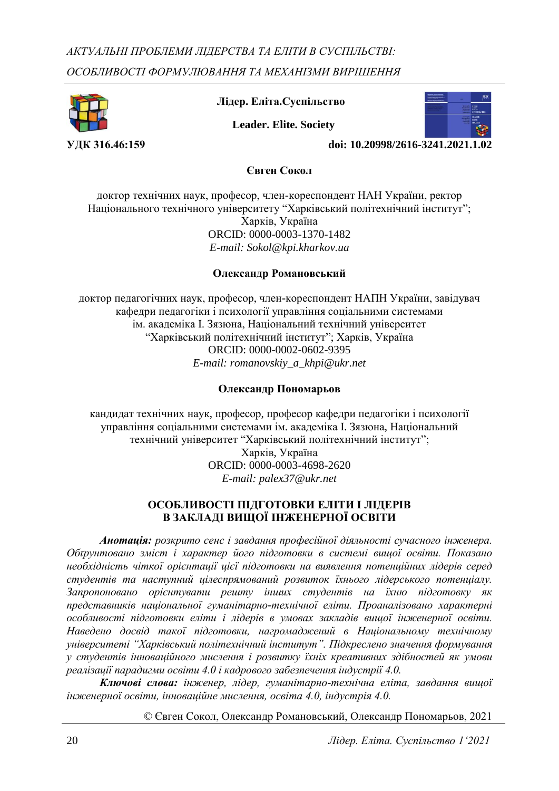

 **Лідер. Еліта.Суспільство**

 **Leader. Elite. Society**



**УДК 316.46:159** doi: 10.20998/2616-3241.2021.

**Євген Сокол**

доктор технічних наук, професор, член-кореспондент НАН України, ректор Національного технічного університету "Харківський політехнічний інститут"; Харків, Україна ORCID: 0000-0003-1370-1482 *E-mail: Sokol@kpi.kharkov.ua*

### **Олександр Романовський**

доктор педагогічних наук, професор, член-кореспондент НАПН України, завідувач кафедри педагогіки і психології управління соціальними системами ім. академіка І. Зязюна, Національний технічний університет "Харківський політехнічний інститут"; Харків, Україна ORCID: 0000-0002-0602-9395 *E-mail: romanovskiy\_a\_khpi@ukr.net*

### **Олександр Пономарьов**

кандидат технічних наук, професор, професор кафедри педагогіки і психології управління соціальними системами ім. академіка І. Зязюна, Національний технічний університет "Харківський політехнічний інститут";

> Харків, Україна ORCID: 0000-0003-4698-2620 *E-mail: palex37@ukr.net*

### **ОСОБЛИВОСТІ ПІДГОТОВКИ ЕЛІТИ І ЛІДЕРІВ В ЗАКЛАДІ ВИЩОЇ ІНЖЕНЕРНОЇ ОСВІТИ**

*Анотація: розкрито сенс і завдання професійної діяльності сучасного інженера. Обґрунтовано зміст і характер його підготовки в системі вищої освіти. Показано необхідність чіткої орієнтації цієї підготовки на виявлення потенційних лідерів серед студентів та наступний цілеспрямований розвиток їхнього лідерського потенціалу. Запропоновано орієнтувати решту інших студентів на їхню підготовку як представників національної гуманітарно-технічної еліти. Проаналізовано характерні особливості підготовки еліти і лідерів в умовах закладів вищої інженерної освіти. Наведено досвід такої підготовки, нагромаджений в Національному технічному університеті "Харківський політехнічний інститут". Підкреслено значення формування у студентів інноваційного мислення і розвитку їхніх креативних здібностей як умови реалізації парадигми освіти 4.0 і кадрового забезпечення індустрії 4.0.* 

*Ключові слова: інженер, лідер, гуманітарно-технічна еліта, завдання вищої інженерної освіти, інноваційне мислення, освіта 4.0, індустрія 4.0.*

*©* Євген Сокол, Олександр Романовський, Олександр Пономарьов, 2021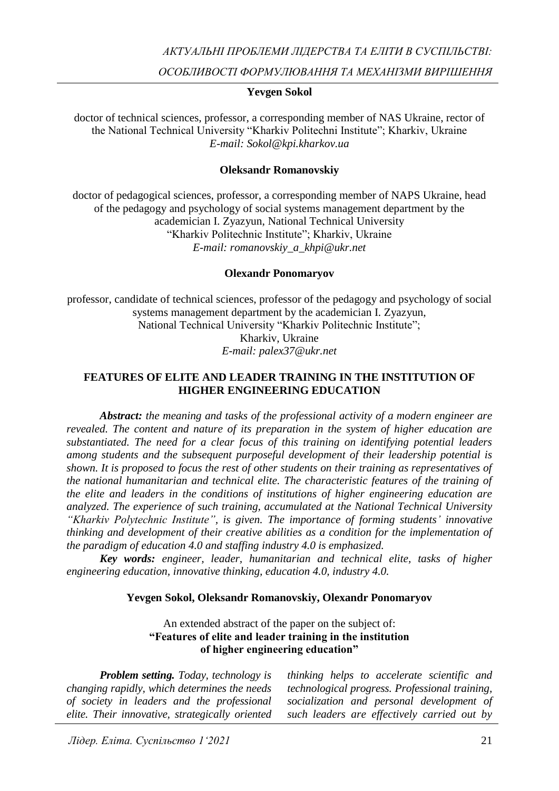*АКТУАЛЬНІ ПРОБЛЕМИ ЛІДЕРСТВА ТА ЕЛІТИ В СУСПІЛЬСТВІ:*

*ОСОБЛИВОСТІ ФОРМУЛЮВАННЯ ТА МЕХАНІЗМИ ВИРІШЕННЯ*

### **Yevgen Sokol**

doctor of technical sciences, professor, a corresponding member of NAS Ukraine, rector of the National Technical University "Kharkiv Politechni Institute"; Kharkiv, Ukraine *E-mail: Sokol@kpi.kharkov.ua*

### **Oleksandr Romanovskiy**

doctor of pedagogical sciences, professor, a corresponding member of NAPS Ukraine, head of the pedagogy and psychology of social systems management department by the academician I. Zyazyun, National Technical University "Kharkiv Politechnic Institute"; Kharkiv, Ukraine *E-mail: romanovskiy\_a\_khpi@ukr.net*

### **Olexandr Ponomaryov**

professor, candidate of technical sciences, professor of the pedagogy and psychology of social systems management department by the academician I. Zyazyun, National Technical University "Kharkiv Politechnic Institute"; Kharkiv, Ukraine *E-mail: palex37@ukr.net*

### **FEATURES OF ELITE AND LEADER TRAINING IN THE INSTITUTION OF HIGHER ENGINEERING EDUCATION**

*Abstract: the meaning and tasks of the professional activity of a modern engineer are revealed. The content and nature of its preparation in the system of higher education are substantiated. The need for a clear focus of this training on identifying potential leaders among students and the subsequent purposeful development of their leadership potential is shown. It is proposed to focus the rest of other students on their training as representatives of the national humanitarian and technical elite. The characteristic features of the training of the elite and leaders in the conditions of institutions of higher engineering education are analyzed. The experience of such training, accumulated at the National Technical University "Kharkiv Polytechnic Institute", is given. The importance of forming students' innovative thinking and development of their creative abilities as a condition for the implementation of the paradigm of education 4.0 and staffing industry 4.0 is emphasized.* 

*Key words: engineer, leader, humanitarian and technical elite, tasks of higher engineering education, innovative thinking, education 4.0, industry 4.0.*

#### **Yevgen Sokol, Oleksandr Romanovskiy, Olexandr Ponomaryov**

An extended abstract of the paper on the subject of: **"Features of elite and leader training in the institution of higher engineering education"**

*Problem setting. Today, technology is changing rapidly, which determines the needs of society in leaders and the professional elite. Their innovative, strategically oriented thinking helps to accelerate scientific and technological progress. Professional training, socialization and personal development of such leaders are effectively carried out by*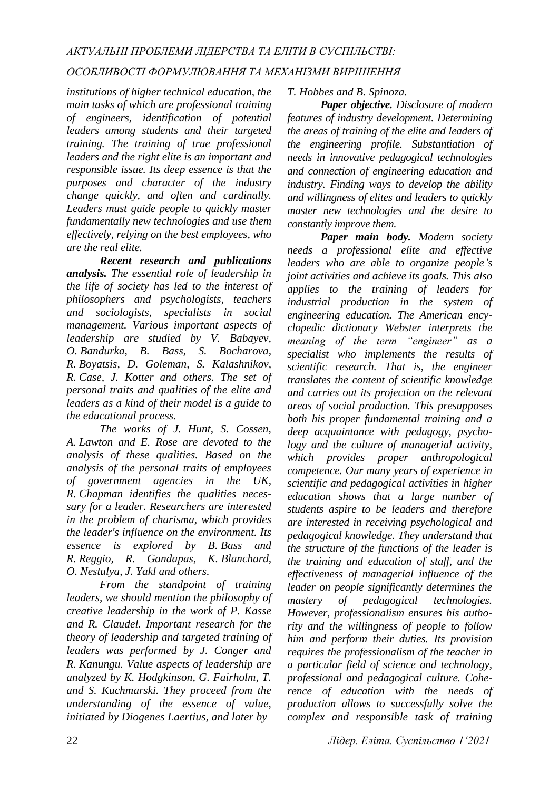## *ОСОБЛИВОСТІ ФОРМУЛЮВАННЯ ТА МЕХАНІЗМИ ВИРІШЕННЯ*

*institutions of higher technical education, the main tasks of which are professional training of engineers, identification of potential leaders among students and their targeted training. The training of true professional leaders and the right elite is an important and responsible issue. Its deep essence is that the purposes and character of the industry change quickly, and often and cardinally. Leaders must guide people to quickly master fundamentally new technologies and use them effectively, relying on the best employees, who are the real elite.*

*Recent research and publications analysis. The essential role of leadership in the life of society has led to the interest of philosophers and psychologists, teachers and sociologists, specialists in social management. Various important aspects of leadership are studied by V. Babayev, O. Bandurka, B. Bass, S. Bocharova, R. Boyatsis, D. Goleman, S. Kalashnikov, R. Case, J. Kotter and others. The set of personal traits and qualities of the elite and leaders as a kind of their model is a guide to the educational process.* 

*The works of J. Hunt, S. Cossen, A. Lawton and E. Rose are devoted to the analysis of these qualities. Based on the analysis of the personal traits of employees of government agencies in the UK, R. Chapman identifies the qualities necessary for a leader. Researchers are interested in the problem of charisma, which provides the leader's influence on the environment. Its essence is explored by B. Bass and R. Reggio, R. Gandapas, K. Blanchard, O. Nestulya, J. Yakl and others.* 

*From the standpoint of training leaders, we should mention the philosophy of creative leadership in the work of P. Kasse and R. Claudel. Important research for the theory of leadership and targeted training of leaders was performed by J. Conger and R. Kanungu. Value aspects of leadership are analyzed by K. Hodgkinson, G. Fairholm, T. and S. Kuchmarski. They proceed from the understanding of the essence of value, initiated by Diogenes Laertius, and later by*

*T. Hobbes and B. Spinoza.* 

*Paper objective. Disclosure of modern features of industry development. Determining the areas of training of the elite and leaders of the engineering profile. Substantiation of needs in innovative pedagogical technologies and connection of engineering education and industry. Finding ways to develop the ability and willingness of elites and leaders to quickly master new technologies and the desire to constantly improve them.*

*Paper main body. Modern society needs a professional elite and effective leaders who are able to organize people's joint activities and achieve its goals. This also applies to the training of leaders for industrial production in the system of engineering education. The American encyclopedic dictionary Webster interprets the meaning of the term "engineer" as a specialist who implements the results of scientific research. That is, the engineer translates the content of scientific knowledge and carries out its projection on the relevant areas of social production. This presupposes both his proper fundamental training and a deep acquaintance with pedagogy, psychology and the culture of managerial activity, which provides proper anthropological competence. Our many years of experience in scientific and pedagogical activities in higher education shows that a large number of students aspire to be leaders and therefore are interested in receiving psychological and pedagogical knowledge. They understand that the structure of the functions of the leader is the training and education of staff, and the effectiveness of managerial influence of the leader on people significantly determines the mastery of pedagogical technologies. However, professionalism ensures his authority and the willingness of people to follow him and perform their duties. Its provision requires the professionalism of the teacher in a particular field of science and technology, professional and pedagogical culture. Coherence of education with the needs of production allows to successfully solve the complex and responsible task of training*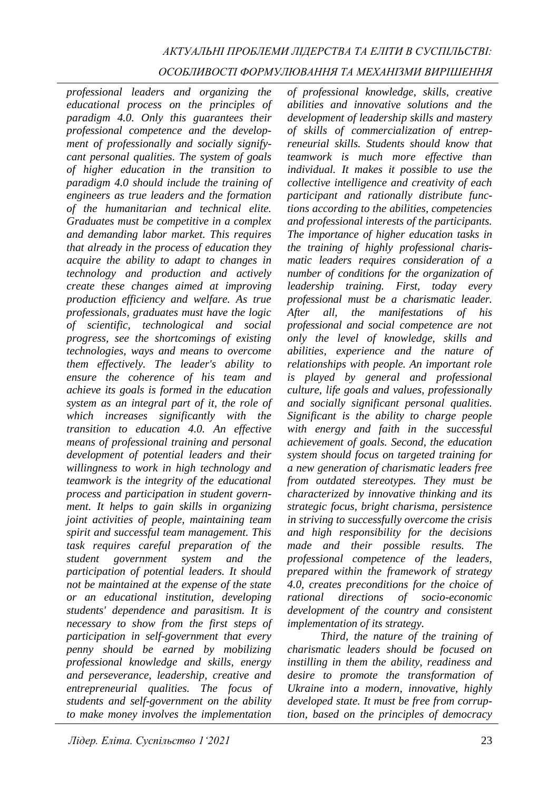# *АКТУАЛЬНІ ПРОБЛЕМИ ЛІДЕРСТВА ТА ЕЛІТИ В СУСПІЛЬСТВІ:*

### *ОСОБЛИВОСТІ ФОРМУЛЮВАННЯ ТА МЕХАНІЗМИ ВИРІШЕННЯ*

*professional leaders and organizing the educational process on the principles of paradigm 4.0. Only this guarantees their professional competence and the development of professionally and socially signifycant personal qualities. The system of goals of higher education in the transition to paradigm 4.0 should include the training of engineers as true leaders and the formation of the humanitarian and technical elite. Graduates must be competitive in a complex and demanding labor market. This requires that already in the process of education they acquire the ability to adapt to changes in technology and production and actively create these changes aimed at improving production efficiency and welfare. As true professionals, graduates must have the logic of scientific, technological and social progress, see the shortcomings of existing technologies, ways and means to overcome them effectively. The leader's ability to ensure the coherence of his team and achieve its goals is formed in the education system as an integral part of it, the role of which increases significantly with the transition to education 4.0. An effective means of professional training and personal development of potential leaders and their willingness to work in high technology and teamwork is the integrity of the educational process and participation in student government. It helps to gain skills in organizing joint activities of people, maintaining team spirit and successful team management. This task requires careful preparation of the student government system and the participation of potential leaders. It should not be maintained at the expense of the state or an educational institution, developing students' dependence and parasitism. It is necessary to show from the first steps of participation in self-government that every penny should be earned by mobilizing professional knowledge and skills, energy and perseverance, leadership, creative and entrepreneurial qualities. The focus of students and self-government on the ability to make money involves the implementation* 

*of professional knowledge, skills, creative abilities and innovative solutions and the development of leadership skills and mastery of skills of commercialization of entrepreneurial skills. Students should know that teamwork is much more effective than individual. It makes it possible to use the collective intelligence and creativity of each participant and rationally distribute functions according to the abilities, competencies and professional interests of the participants. The importance of higher education tasks in the training of highly professional charismatic leaders requires consideration of a number of conditions for the organization of leadership training. First, today every professional must be a charismatic leader. After all, the manifestations of his professional and social competence are not only the level of knowledge, skills and abilities, experience and the nature of relationships with people. An important role is played by general and professional culture, life goals and values, professionally and socially significant personal qualities. Significant is the ability to charge people with energy and faith in the successful achievement of goals. Second, the education system should focus on targeted training for a new generation of charismatic leaders free from outdated stereotypes. They must be characterized by innovative thinking and its strategic focus, bright charisma, persistence in striving to successfully overcome the crisis and high responsibility for the decisions made and their possible results. The professional competence of the leaders, prepared within the framework of strategy 4.0, creates preconditions for the choice of rational directions of socio-economic development of the country and consistent implementation of its strategy.*

*Third, the nature of the training of charismatic leaders should be focused on instilling in them the ability, readiness and desire to promote the transformation of Ukraine into a modern, innovative, highly developed state. It must be free from corruption, based on the principles of democracy*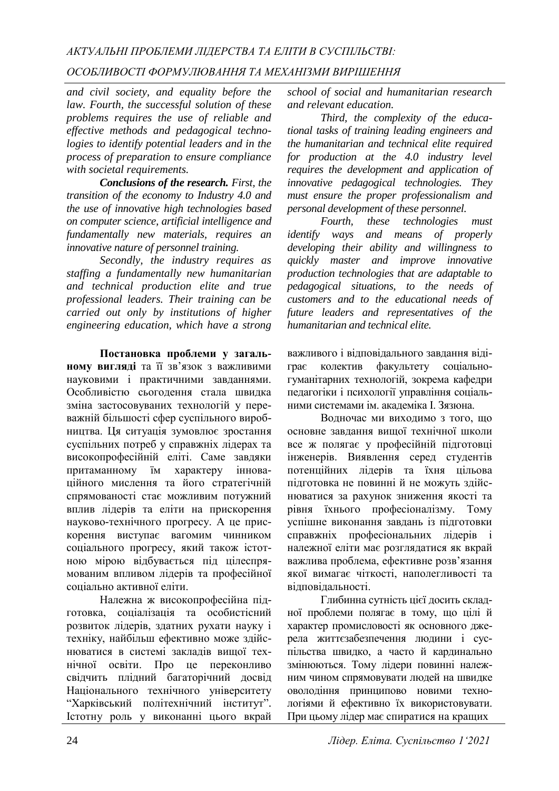## *ОСОБЛИВОСТІ ФОРМУЛЮВАННЯ ТА МЕХАНІЗМИ ВИРІШЕННЯ*

*and civil society, and equality before the law. Fourth, the successful solution of these problems requires the use of reliable and effective methods and pedagogical technologies to identify potential leaders and in the process of preparation to ensure compliance with societal requirements.*

*Conclusions of the research. First, the transition of the economy to Industry 4.0 and the use of innovative high technologies based on computer science, artificial intelligence and fundamentally new materials, requires an innovative nature of personnel training.* 

*Secondly, the industry requires as staffing a fundamentally new humanitarian and technical production elite and true professional leaders. Their training can be carried out only by institutions of higher engineering education, which have a strong* 

**Постановка проблеми у загальному вигляді** та її зв'язок з важливими науковими і практичними завданнями. Особливістю сьогодення стала швидка зміна застосовуваних технологій у переважній більшості сфер суспільного виробництва. Ця ситуація зумовлює зростання суспільних потреб у справжніх лідерах та високопрофесійній еліті. Саме завдяки притаманному їм характеру інноваційного мислення та його стратегічній спрямованості стає можливим потужний вплив лідерів та еліти на прискорення науково-технічного прогресу. А це прискорення виступає вагомим чинником соціального прогресу, який також істотною мірою відбувається під цілеспрямованим впливом лідерів та професійної соціально активної еліти.

Належна ж високопрофесійна підготовка, соціалізація та особистісний розвиток лідерів, здатних рухати науку і техніку, найбільш ефективно може здійснюватися в системі закладів вищої технічної освіти. Про це переконливо свідчить плідний багаторічний досвід Національного технічного університету "Харківський політехнічний інститут". Істотну роль у виконанні цього вкрай

*school of social and humanitarian research and relevant education.* 

*Third, the complexity of the educational tasks of training leading engineers and the humanitarian and technical elite required for production at the 4.0 industry level requires the development and application of innovative pedagogical technologies. They must ensure the proper professionalism and personal development of these personnel.* 

*Fourth, these technologies must identify ways and means of properly developing their ability and willingness to quickly master and improve innovative production technologies that are adaptable to pedagogical situations, to the needs of customers and to the educational needs of future leaders and representatives of the humanitarian and technical elite.*

важливого і відповідального завдання відіграє колектив факультету соціальногуманітарних технологій, зокрема кафедри педагогіки і психології управління соціальними системами ім. академіка І. Зязюна.

Водночас ми виходимо з того, що основне завдання вищої технічної школи все ж полягає у професійній підготовці інженерів. Виявлення серед студентів потенційних лідерів та їхня цільова підготовка не повинні й не можуть здійснюватися за рахунок зниження якості та рівня їхнього професіоналізму. Тому успішне виконання завдань із підготовки справжніх професіональних лідерів і належної еліти має розглядатися як вкрай важлива проблема, ефективне розв'язання якої вимагає чіткості, наполегливості та відповідальності.

Глибинна сутність цієї досить складної проблеми полягає в тому, що цілі й характер промисловості як основного джерела життєзабезпечення людини і суспільства швидко, а часто й кардинально змінюються. Тому лідери повинні належним чином спрямовувати людей на швидке оволодіння принципово новими технологіями й ефективно їх використовувати. При цьому лідер має спиратися на кращих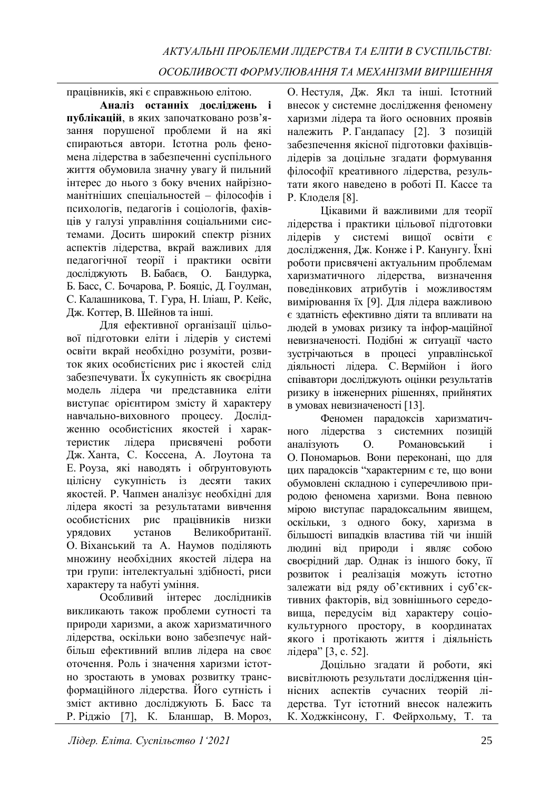працівників, які є справжньою елітою.

**Аналіз останніх досліджень і публікацій**, в яких започатковано розв'язання порушеної проблеми й на які спираються автори. Істотна роль феномена лідерства в забезпеченні суспільного життя обумовила значну увагу й пильний інтерес до нього з боку вчених найрізноманітніших спеціальностей – філософів і психологів, педагогів і соціологів, фахівців у галузі управління соціальними системами. Досить широкий спектр різних аспектів лідерства, вкрай важливих для педагогічної теорії і практики освіти досліджують В. Бабаєв, О. Бандурка, Б. Басс, С. Бочарова, Р. Бояціс, Д. Гоулман, С. Калашникова, Т. Гура, Н. Іліаш, Р. Кейс, Дж. Коттер, В. Шейнов та інші.

Для ефективної організації цільової підготовки еліти і лідерів у системі освіти вкрай необхідно розуміти, розвиток яких особистісних рис і якостей слід забезпечувати. Їх сукупність як своєрідна модель лідера чи представника еліти виступає орієнтиром змісту й характеру навчально-виховного процесу. Дослідженню особистісних якостей і характеристик лідера присвячені роботи Дж. Ханта, С. Коссена, А. Лоутона та Е. Роуза, які наводять і обґрунтовують цілісну сукупність із десяти таких якостей. Р. Чапмен аналізує необхідні для лідера якості за результатами вивчення особистісних рис працівників низки урядових установ Великобританії. О. Віханський та А. Наумов поділяють множину необхідних якостей лідера на три групи: інтелектуальні здібності, риси характеру та набуті уміння.

Особливий інтерес дослідників викликають також проблеми сутності та природи харизми, а акож харизматичного лідерства, оскільки воно забезпечує найбільш ефективний вплив лідера на своє оточення. Роль і значення харизми істотно зростають в умовах розвитку трансформаційного лідерства. Його сутність і зміст активно досліджують Б. Басс та Р. Ріджіо [7], К. Бланшар, В. Мороз,

О. Нестуля, Дж. Якл та інші. Істотний внесок у системне дослідження феномену харизми лідера та його основних проявів належить Р. Гандапасу [2]. З позицій забезпечення якісної підготовки фахівцівлідерів за доцільне згадати формування філософії креативного лідерства, результати якого наведено в роботі П. Кассе та Р. Клоделя [8].

Цікавими й важливими для теорії лідерства і практики цільової підготовки лідерів у системі вищої освіти є дослідження, Дж. Конже і Р. Канунгу. Їхні роботи присвячені актуальним проблемам харизматичного лідерства, визначення поведінкових атрибутів і можливостям вимірювання їх [9]. Для лідера важливою є здатність ефективно діяти та впливати на людей в умовах ризику та інфор-маційної невизначеності. Подібні ж ситуації часто зустрічаються в процесі управлінської діяльності лідера. С. Вермійон і його співавтори досліджують оцінки результатів ризику в інженерних рішеннях, прийнятих в умовах невизначеності [13].

Феномен парадоксів харизматичного лідерства з системних позицій аналізують О. Романовський і О. Пономарьов. Вони переконані, що для цих парадоксів "характерним є те, що вони обумовлені складною і суперечливою природою феномена харизми. Вона певною мірою виступає парадоксальним явищем, оскільки, з одного боку, харизма в більшості випадків властива тій чи іншій людині від природи і являє собою своєрідний дар. Однак із іншого боку, її розвиток і реалізація можуть істотно залежати від ряду об'єктивних і суб'єктивних факторів, від зовнішнього середовища, передусім від характеру соціокультурного простору, в координатах якого і протікають життя і діяльність лідера" [3, с. 52].

Доцільно згадати й роботи, які висвітлюють результати дослідження ціннісних аспектів сучасних теорій лідерства. Тут істотний внесок належить К. Ходжкінсону, Г. Фейрхольму, Т. та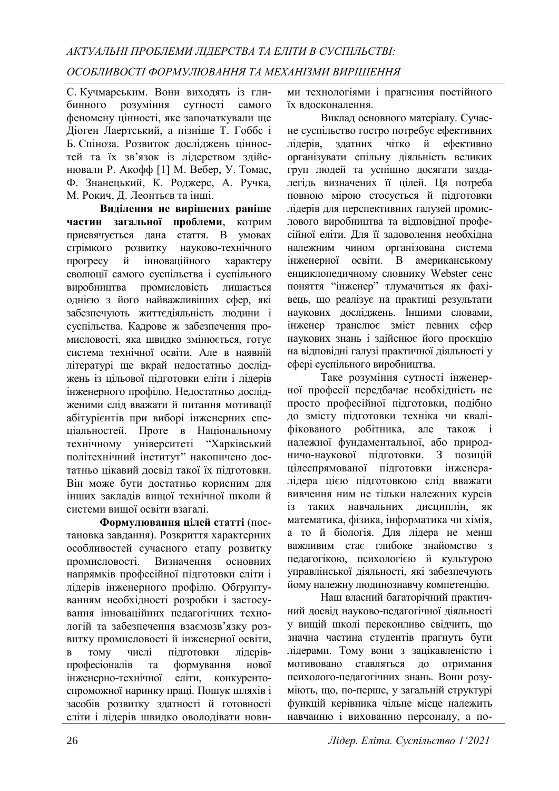С. Кучмарським. Вони виходять із глибинного розуміння сутності самого феномену цінності, яке започаткували ще Діоген Лаертський, а пізніше Т. Гоббс і Б. Спіноза. Розвиток досліджень цінностей та їх зв'язок із лідерством здійснювали Р. Акофф [1] М. Вебер, У. Томас, Ф. Знанецький, К. Роджерс, А. Ручка, М. Рокич, Д. Леонтьєв та інші.

**Виділення не вирішених раніше частин загальної проблеми**, котрим присвячується дана стаття. В умовах стрімкого розвитку науково-технічного прогресу й інноваційного характеру еволюції самого суспільства і суспільного виробництва промисловість лишається однією з його найважливіших сфер, які забезпечують життєдіяльність людини і суспільства. Кадрове ж забезпечення промисловості, яка швидко змінюється, готує система технічної освіти. Але в наявній літературі ще вкрай недостатньо досліджень із цільової підготовки еліти і лідерів інженерного профілю. Недостатньо дослідженими слід вважати й питання мотивації абітурієнтів при виборі інженерних спеціальностей. Проте в Національному технічному університеті "Харківський політехнічний інститут" накопичено достатньо цікавий досвід такої їх підготовки. Він може бути достатньо корисним для інших закладів вищої технічної школи й системи вищої освіти взагалі.

**Формулювання цілей статті** (постановка завдання). Розкриття характерних особливостей сучасного етапу розвитку промисловості. Визначення основних напрямків професійної підготовки еліти і лідерів інженерного профілю. Обґрунтуванням необхідності розробки і застосування інноваційних педагогічних технологій та забезпечення взаємозв'язку розвитку промисловості й інженерної освіти, в тому числі підготовки лідерівпрофесіоналів та формування нової інженерно-технічної еліти, конкурентоспроможної наринку праці. Пошук шляхів і засобів розвитку здатності й готовності еліти і лідерів швидко оволодівати нови-

ми технологіями і прагнення постійного їх вдосконалення.

Виклад основного матеріалу. Сучасне суспільство гостро потребує ефективних лідерів, здатних чітко й ефективно організувати спільну діяльність великих груп людей та успішно досягати заздалегідь визначених її цілей. Ця потреба повною мірою стосується й підготовки лідерів для перспективних галузей промислового виробництва та відповідної професійної еліти. Для її задоволення необхідна належним чином організована система інженерної освіти. В американському енциклопедичному словнику Webster сенс поняття "інженер" тлумачиться як фахівець, що реалізує на практиці результати наукових досліджень. Іншими словами, інженер транслює зміст певних сфер наукових знань і здійснює його проєкцію на відповідні галузі практичної діяльності у сфері суспільного виробництва.

Таке розуміння сутності інженерної професії передбачає необхідність не просто професійної підготовки, подібно до змісту підготовки техніка чи кваліфікованого робітника, але також і належної фундаментальної, або природничо-наукової підготовки. З позицій цілеспрямованої підготовки інженералідера цією підготовкою слід вважати вивчення ним не тільки належних курсів із таких навчальних дисциплін, як математика, фізика, інформатика чи хімія, а то й біологія. Для лідера не менш важливим стає глибоке знайомство з педагогікою, психологією й культурою управлінської діяльності, які забезпечують йому належну людинознавчу компетенцію.

Наш власний багаторічний практичний досвід науково-педагогічної діяльності у вищій школі переконливо свідчить, що значна частина студентів прагнуть бути лідерами. Тому вони з зацікавленістю і мотивовано ставляться до отримання психолого-педагогічних знань. Вони розуміють, що, по-перше, у загальній структурі функцій керівника чільне місце належить навчанню і вихованню персоналу, а по-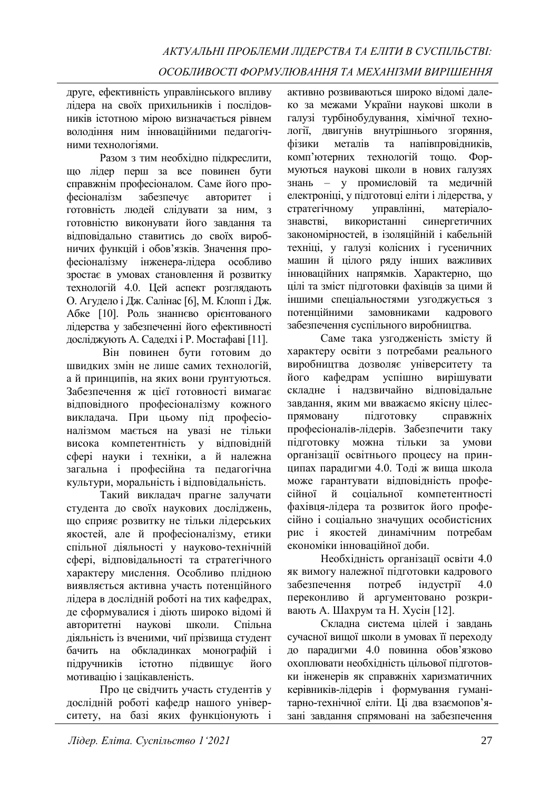друге, ефективність управлінського впливу лідера на своїх прихильників і послідовників істотною мірою визначається рівнем володіння ним інноваційними педагогічними технологіями.

Разом з тим необхідно підкреслити, що лідер перш за все повинен бути справжнім професіоналом. Саме його професіоналізм забезпечує авторитет і готовність людей слідувати за ним, з готовністю виконувати його завдання та відповідально ставитись до своїх виробничих функцій і обов'язків. Значення професіоналізму інженера-лідера особливо зростає в умовах становлення й розвитку технологій 4.0. Цей аспект розглядають О. Агудело і Дж. Салінас [6], М. Клопп і Дж. Абке [10]. Роль знаннєво орієнтованого лідерства у забезпеченні його ефективності досліджують А. Садедхі і Р. Мостафаві [11].

Він повинен бути готовим до швидких змін не лише самих технологій, а й принципів, на яких вони ґрунтуються. Забезпечення ж цієї готовності вимагає відповідного професіоналізму кожного викладача. При цьому під професіоналізмом мається на увазі не тільки висока компетентність у відповідній сфері науки і техніки, а й належна загальна і професійна та педагогічна культури, моральність і відповідальність.

Такий викладач прагне залучати студента до своїх наукових досліджень, що сприяє розвитку не тільки лідерських якостей, але й професіоналізму, етики спільної діяльності у науково-технічній сфері, відповідальності та стратегічного характеру мислення. Особливо плідною виявляється активна участь потенційного лідера в дослідній роботі на тих кафедрах, де сформувалися і діють широко відомі й авторитетні наукові школи. Спільна діяльність із вченими, чиї прізвища студент бачить на обкладинках монографій і підручників істотно підвищує його мотивацію і зацікавленість.

Про це свідчить участь студентів у дослідній роботі кафедр нашого університету, на базі яких функціонують і

активно розвиваються широко відомі далеко за межами України наукові школи в галузі турбінобудування, хімічної технології, двигунів внутрішнього згоряння, фізики металів та напівпровідників, комп'ютерних технологій тощо. Формуються наукові школи в нових галузях знань – у промисловій та медичній електроніці, у підготовці еліти і лідерства, у стратегічному управлінні, матеріалознавстві, використанні синергетичних закономірностей, в ізоляційній і кабельній техніці, у галузі колісних і гусеничних машин й цілого ряду інших важливих інноваційних напрямків. Характерно, що цілі та зміст підготовки фахівців за цими й іншими спеціальностями узгоджується з потенційними замовниками кадрового забезпечення суспільного виробництва.

Саме така узгодженість змісту й характеру освіти з потребами реального виробництва дозволяє університету та його кафедрам успішно вирішувати складне і надзвичайно відповідальне завдання, яким ми вважаємо якісну цілеспрямовану підготовку справжніх професіоналів-лідерів. Забезпечити таку підготовку можна тільки за умови організації освітнього процесу на принципах парадигми 4.0. Тоді ж вища школа може гарантувати відповідність професійної й соціальної компетентності фахівця-лідера та розвиток його професійно і соціально значущих особистісних рис і якостей динамічним потребам економіки інноваційної доби.

Необхідність організації освіти 4.0 як вимогу належної підготовки кадрового забезпечення потреб індустрії 4.0 переконливо й аргументовано розкривають А. Шахрум та Н. Хусін [12].

Складна система цілей і завдань сучасної вищої школи в умовах її переходу до парадигми 4.0 повинна обов'язково охоплювати необхідність цільової підготовки інженерів як справжніх харизматичних керівників-лідерів і формування гуманітарно-технічної еліти. Ці два взаємопов'язані завдання спрямовані на забезпечення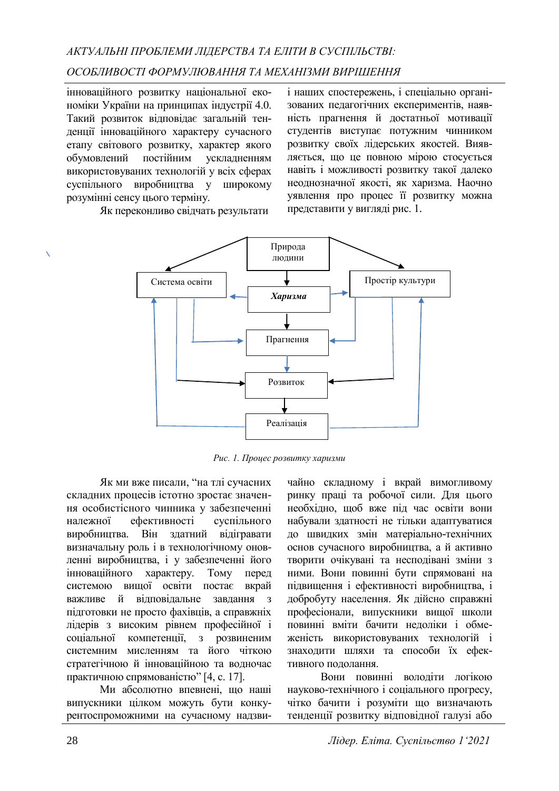інноваційного розвитку національної економіки України на принципах індустрії 4.0. Такий розвиток відповідає загальній тенденції інноваційного характеру сучасного етапу світового розвитку, характер якого обумовлений постійним ускладненням використовуваних технологій у всіх сферах суспільного виробництва у широкому розумінні сенсу цього терміну.

Як переконливо свідчать результати

і наших спостережень, і спеціально організованих педагогічних експериментів, наявність прагнення й достатньої мотивації студентів виступає потужним чинником розвитку своїх лідерських якостей. Виявляється, що це повною мірою стосується навіть і можливості розвитку такої далеко неоднозначної якості, як харизма. Наочно уявлення про процес її розвитку можна представити у вигляді рис. 1.



*Рис. 1. Процес розвитку харизми*

Як ми вже писали, "на тлі сучасних складних процесів істотно зростає значення особистісного чинника у забезпеченні належної ефективності суспільного виробництва. Він здатний відігравати визначальну роль і в технологічному оновленні виробництва, і у забезпеченні його інноваційного характеру. Тому перед системою вищої освіти постає вкрай важливе й відповідальне завдання з підготовки не просто фахівців, а справжніх лідерів з високим рівнем професійної і соціальної компетенції, з розвиненим системним мисленням та його чіткою стратегічною й інноваційною та водночас практичною спрямованістю" [4, с. 17].

Ми абсолютно впевнені, що наші випускники цілком можуть бути конкурентоспроможними на сучасному надзви-

чайно складному і вкрай вимогливому ринку праці та робочої сили. Для цього необхідно, щоб вже під час освіти вони набували здатності не тільки адаптуватися до швидких змін матеріально-технічних основ сучасного виробництва, а й активно творити очікувані та несподівані зміни з ними. Вони повинні бути спрямовані на підвищення і ефективності виробництва, і добробуту населення. Як дійсно справжні професіонали, випускники вищої школи повинні вміти бачити недоліки і обмеженість використовуваних технологій і знаходити шляхи та способи їх ефективного подолання.

Вони повинні володіти логікою науково-технічного і соціального прогресу, чітко бачити і розуміти що визначають тенденції розвитку відповідної галузі або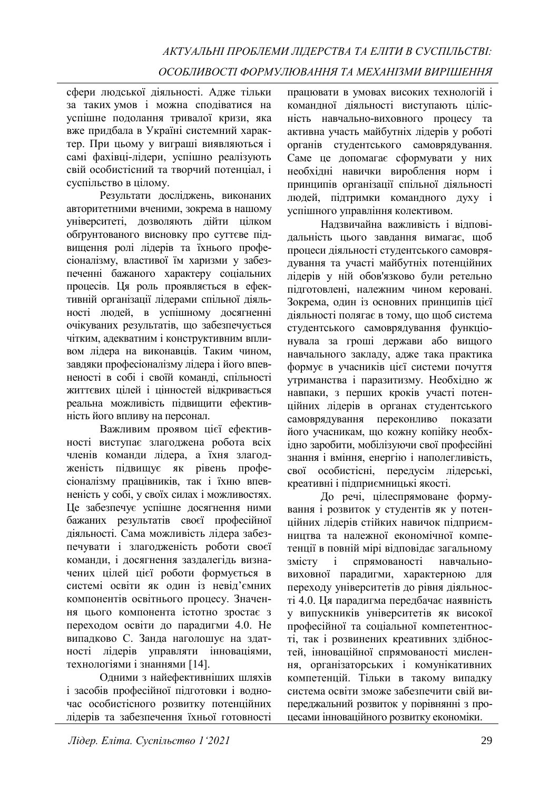сфери людської діяльності. Адже тільки за таких умов і можна сподіватися на успішне подолання тривалої кризи, яка вже придбала в Україні системний характер. При цьому у виграші виявляються і самі фахівці-лідери, успішно реалізують свій особистісний та творчий потенціал, і суспільство в цілому.

Результати досліджень, виконаних авторитетними вченими, зокрема в нашому університеті, дозволяють дійти цілком обґрунтованого висновку про суттєве підвищення ролі лідерів та їхнього професіоналізму, властивої їм харизми у забезпеченні бажаного характеру соціальних процесів. Ця роль проявляється в ефективній організації лідерами спільної діяльності людей, в успішному досягненні очікуваних результатів, що забезпечується чітким, адекватним і конструктивним впливом лідера на виконавців. Таким чином, завдяки професіоналізму лідера і його впевненості в собі і своїй команді, спільності життєвих цілей і цінностей відкривається реальна можливість підвищити ефективність його впливу на персонал.

Важливим проявом цієї ефективності виступає злагоджена робота всіх членів команди лідера, а їхня злагодженість підвищує як рівень професіоналізму працівників, так і їхню впевненість у собі, у своїх силах і можливостях. Це забезпечує успішне досягнення ними бажаних результатів своєї професійної діяльності. Сама можливість лідера забезпечувати і злагодженість роботи своєї команди, і досягнення заздалегідь визначених цілей цієї роботи формується в системі освіти як один із невід'ємних компонентів освітнього процесу. Значення цього компонента істотно зростає з переходом освіти до парадигми 4.0. Не випадково С. Занда наголошує на здатності лідерів управляти інноваціями, технологіями і знаннями [14].

Одними з найефективніших шляхів і засобів професійної підготовки і водночас особистісного розвитку потенційних лідерів та забезпечення їхньої готовності

працювати в умовах високих технологій і командної діяльності виступають цілісність навчально-виховного процесу та активна участь майбутніх лідерів у роботі органів студентського самоврядування. Саме це допомагає сформувати у них необхідні навички вироблення норм і принципів організації спільної діяльності людей, підтримки командного духу і успішного управління колективом.

Надзвичайна важливість і відповідальність цього завдання вимагає, щоб процеси діяльності студентського самоврядування та участі майбутніх потенційних лідерів у ній обов'язково були ретельно підготовлені, належним чином керовані. Зокрема, один із основних принципів цієї діяльності полягає в тому, що щоб система студентського самоврядування функціонувала за гроші держави або вищого навчального закладу, адже така практика формує в учасників цієї системи почуття утриманства і паразитизму. Необхідно ж навпаки, з перших кроків участі потенційних лідерів в органах студентського самоврядування переконливо показати його учасникам, що кожну копійку необхідно заробити, мобілізуючи свої професійні знання і вміння, енергію і наполегливість, свої особистісні, передусім лідерські, креативні і підприємницькі якості.

До речі, цілеспрямоване формування і розвиток у студентів як у потенційних лідерів стійких навичок підприємництва та належної економічної компетенції в повній мірі відповідає загальному змісту і спрямованості навчальновиховної парадигми, характерною для переходу університетів до рівня діяльності 4.0. Ця парадигма передбачає наявність у випускників університетів як високої професійної та соціальної компетентності, так і розвинених креативних здібностей, інноваційної спрямованості мислення, організаторських і комунікативних компетенцій. Тільки в такому випадку система освіти зможе забезпечити свій випереджальний розвиток у порівнянні з процесами інноваційного розвитку економіки.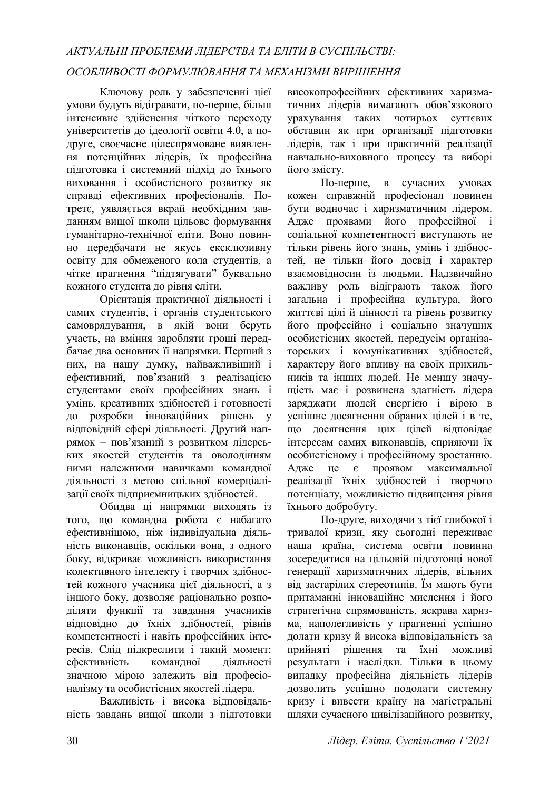Ключову роль у забезпеченні цієї умови будуть відігравати, по-перше, більш інтенсивне здійснення чіткого переходу університетів до ідеології освіти 4.0, а подруге, своєчасне цілеспрямоване виявлення потенційних лідерів, їх професійна підготовка і системний підхід до їхнього виховання і особистісного розвитку як справді ефективних професіоналів. Потретє, уявляється вкрай необхідним завданням вищої школи цільове формування гуманітарно-технічної еліти. Воно повинно передбачати не якусь ексклюзивну освіту для обмеженого кола студентів, а чітке прагнення "підтягувати" буквально кожного студента до рівня еліти.

Орієнтація практичної діяльності і самих студентів, і органів студентського самоврядування, в якій вони беруть участь, на вміння заробляти гроші передбачає два основних її напрямки. Перший з них, на нашу думку, найважливіший і ефективний, пов'язаний з реалізацією студентами своїх професійних знань і умінь, креативних здібностей і готовності до розробки інноваційних рішень у відповідній сфері діяльності. Другий напрямок – пов'язаний з розвитком лідерських якостей студентів та оволодінням ними належними навичками командної діяльності з метою спільної комерціалізації своїх підприємницьких здібностей.

Обидва ці напрямки виходять із того, що командна робота є набагато ефективнішою, ніж індивідуальна діяльність виконавців, оскільки вона, з одного боку, відкриває можливість використання колективного інтелекту і творчих здібностей кожного учасника цієї діяльності, а з іншого боку, дозволяє раціонально розподіляти функції та завдання учасників відповідно до їхніх здібностей, рівнів компетентності і навіть професійних інтересів. Слід підкреслити і такий момент: ефективність командної діяльності значною мірою залежить від професіоналізму та особистісних якостей лідера.

Важливість і висока відповідальність завдань вищої школи з підготовки

високопрофесійних ефективних харизматичних лідерів вимагають обов'язкового урахування таких чотирьох суттєвих обставин як при організації підготовки лідерів, так і при практичній реалізації навчально-виховного процесу та виборі його змісту.

По-перше, в сучасних умовах кожен справжній професіонал повинен бути водночас і харизматичним лідером. Адже проявами його професійної і соціальної компетентності виступають не тільки рівень його знань, умінь і здібностей, не тільки його досвід і характер взаємовідносин із людьми. Надзвичайно важливу роль відіграють також його загальна і професійна культура, його життєві цілі й цінності та рівень розвитку його професійно і соціально значущих особистісних якостей, передусім організаторських і комунікативних здібностей, характеру його впливу на своїх прихильників та інших людей. Не меншу значущість має і розвинена здатність лідера заряджати людей енергією і вірою в успішне досягнення обраних цілей і в те, що досягнення цих цілей відповідає інтересам самих виконавців, сприяючи їх особистісному і професійному зростанню. Адже це є проявом максимальної реалізації їхніх здібностей і творчого потенціалу, можливістю підвищення рівня їхнього добробуту.

По-друге, виходячи з тієї глибокої і тривалої кризи, яку сьогодні переживає наша країна, система освіти повинна зосередитися на цільовій підготовці нової генерації харизматичних лідерів, вільних від застарілих стереотипів. Їм мають бути притаманні інноваційне мислення і його стратегічна спрямованість, яскрава харизма, наполегливість у прагненні успішно долати кризу й висока відповідальність за прийняті рішення та їхні можливі результати і наслідки. Тільки в цьому випадку професійна діяльність лідерів дозволить успішно подолати системну кризу і вивести країну на магістральні шляхи сучасного цивілізаційного розвитку,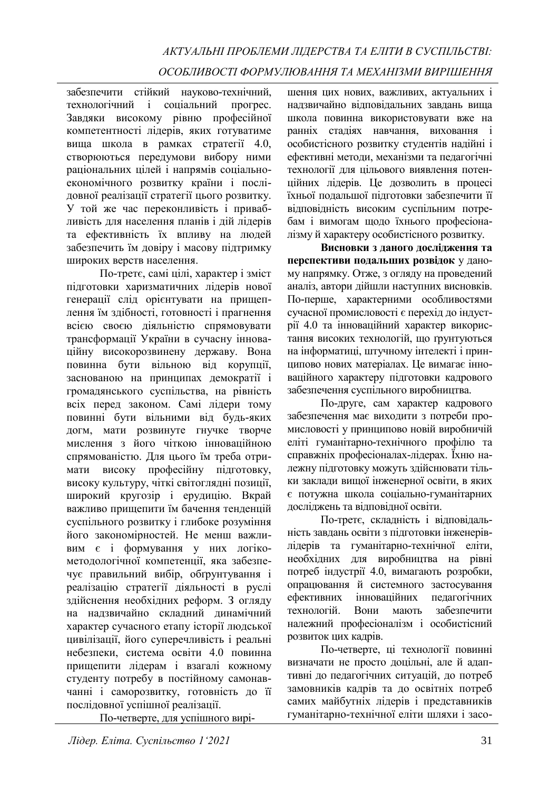забезпечити стійкий науково-технічний, технологічний і соціальний прогрес. Завдяки високому рівню професійної компетентності лідерів, яких готуватиме вища школа в рамках стратегії 4.0, створюються передумови вибору ними раціональних цілей і напрямів соціальноекономічного розвитку країни і послідовної реалізації стратегії цього розвитку. У той же час переконливість і привабливість для населення планів і дій лідерів та ефективність їх впливу на людей забезпечить їм довіру і масову підтримку широких верств населення.

По-третє, самі цілі, характер і зміст підготовки харизматичних лідерів нової генерації слід орієнтувати на прищеплення їм здібності, готовності і прагнення всією своєю діяльністю спрямовувати трансформації України в сучасну інноваційну високорозвинену державу. Вона повинна бути вільною від корупції, заснованою на принципах демократії і громадянського суспільства, на рівність всіх перед законом. Самі лідери тому повинні бути вільними від будь-яких догм, мати розвинуте гнучке творче мислення з його чіткою інноваційною спрямованістю. Для цього їм треба отримати високу професійну підготовку, високу культуру, чіткі світоглядні позиції, широкий кругозір і ерудицію. Вкрай важливо прищепити їм бачення тенденцій суспільного розвитку і глибоке розуміння його закономірностей. Не менш важливим є і формування у них логікометодологічної компетенції, яка забезпечує правильний вибір, обґрунтування і реалізацію стратегії діяльності в руслі здійснення необхідних реформ. З огляду на надзвичайно складний динамічний характер сучасного етапу історії людської цивілізації, його суперечливість і реальні небезпеки, система освіти 4.0 повинна прищепити лідерам і взагалі кожному студенту потребу в постійному самонавчанні і саморозвитку, готовність до її послідовної успішної реалізації.

По-четверте, для успішного вирі-

шення цих нових, важливих, актуальних і надзвичайно відповідальних завдань вища школа повинна використовувати вже на ранніх стадіях навчання, виховання і особистісного розвитку студентів надійні і ефективні методи, механізми та педагогічні технології для цільового виявлення потенційних лідерів. Це дозволить в процесі їхньої подальшої підготовки забезпечити її відповідність високим суспільним потребам і вимогам щодо їхнього професіоналізму й характеру особистісного розвитку.

**Висновки з даного дослідження та перспективи подальших розвідок** у даному напрямку. Отже, з огляду на проведений аналіз, автори дійшли наступних висновків. По-перше, характерними особливостями сучасної промисловості є перехід до індустрії 4.0 та інноваційний характер використання високих технологій, що ґрунтуються на інформатиці, штучному інтелекті і принципово нових матеріалах. Це вимагає інноваційного характеру підготовки кадрового забезпечення суспільного виробництва.

По-друге, сам характер кадрового забезпечення має виходити з потреби промисловості у принципово новій виробничій еліті гуманітарно-технічного профілю та справжніх професіоналах-лідерах. Їхню належну підготовку можуть здійснювати тільки заклади вищої інженерної освіти, в яких є потужна школа соціально-гуманітарних досліджень та відповідної освіти.

По-третє, складність і відповідальність завдань освіти з підготовки інженерівлідерів та гуманітарно-технічної еліти, необхідних для виробництва на рівні потреб індустрії 4.0, вимагають розробки, опрацювання й системного застосування ефективних інноваційних педагогічних технологій. Вони мають забезпечити належний професіоналізм і особистісний розвиток цих кадрів.

По-четверте, ці технології повинні визначати не просто доцільні, але й адаптивні до педагогічних ситуацій, до потреб замовників кадрів та до освітніх потреб самих майбутніх лідерів і представників гуманітарно-технічної еліти шляхи і засо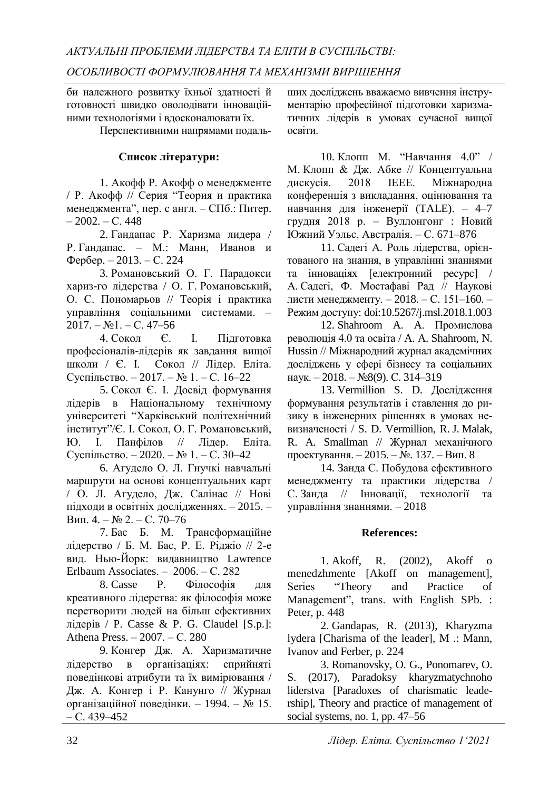би належного розвитку їхньої здатності й готовності швидко оволодівати інноваційними технологіями і вдосконалювати їх.

Перспективними напрямами подаль-

### **Список літератури:**

1. Акофф Р. Акофф о менеджменте / Р. Акофф // Серия "Теория и практика менеджмента", пер. с англ. – СПб.: Питер.  $-2002$ ,  $-C.448$ 

2. Гандапас Р. Харизма лидера / Р. Гандапас. – М.: Манн, Иванов и Фербер. – 2013. – С. 224

3. Романовський О. Г. Парадокси хариз-го лідерства / О. Г. Романовський, О. С. Пономарьов // Теорія і практика управління соціальними системами. –  $2017. - N<sub>2</sub>1. - C. 47-56$ 

4. Сокол Є. І. Підготовка професіоналів-лідерів як завдання вищої школи / Є. І. Сокол // Лідер. Еліта. Суспільство. – 2017. – № 1. – С. 16–22

5. Сокол Є. І. Досвід формування лідерів в Національному технічному університеті "Харківський політехнічний інститут"/Є. І. Сокол, О. Г. Романовський, Ю. І. Панфілов // Лідер. Еліта. Суспільство. – 2020. – № 1. – С. 30–42

6. Агудело О. Л. Гнучкі навчальні маршрути на основі концептуальних карт / О. Л. Агудело, Дж. Салінас // Нові підходи в освітніх дослідженнях. – 2015. – Вип. 4. – № 2. – С. 70–76

7. Бас Б. М. Трансформаційне лідерство / Б. М. Бас, Р. Е. Ріджіо // 2-е вид. Нью-Йорк: видавництво Lawrence Erlbaum Associates. – 2006. – С. 282

8. Casse P. Філософія для креативного лідерства: як філософія може перетворити людей на більш ефективних лідерів / P. Casse & P. G. Claudel [S.p.]: Athena Press. – 2007. – С. 280

9. Конгер Дж. А. Харизматичне лідерство в організаціях: сприйняті поведінкові атрибути та їх вимірювання / Дж. А. Конгер і Р. Канунго // Журнал організаційної поведінки. – 1994. – № 15. – С. 439–452

ших досліджень вважаємо вивчення інструментарію професійної підготовки харизматичних лідерів в умовах сучасної вищої освіти.

10. Клопп М. "Навчання 4.0" / М. Клопп & Дж. Абке // Концептуальна дискусія. 2018 IEEE. Міжнародна конференція з викладання, оцінювання та навчання для інженерії (TALE). – 4–7 грудня 2018 р. – Вуллонгонг : Новий Южний Уэльс, Австралія. – С. 671–876

11. Садегі А. Роль лідерства, орієнтованого на знання, в управлінні знаннями та інноваціях [електронний ресурс] / А. Садегі, Ф. Мостафаві Рад // Наукові листи менеджменту. – 2018. – С. 151–160. – Режим доступу: doi:10.5267/j.msl.2018.1.003

12. Shahroom A. A. Промислова революція 4.0 та освіта / A. A. Shahroom, N. Hussin // Міжнародний журнал академічних досліджень у сфері бізнесу та соціальних наук. – 2018. – №8(9). С. 314–319

13. Vermillion S. D. Дослідження формування результатів і ставлення до ризику в інженерних рішеннях в умовах невизначеності / S. D. Vermillion, R. J. Malak, R. A. Smallman // Журнал механічного проектування. – 2015. – №. 137. – Вип. 8

14. Занда С. Побудова ефективного менеджменту та практики лідерства / С. Занда // Інновації, технології та управління знаннями. – 2018

### **References:**

1. Akoff, R. (2002), Akoff o menedzhmente [Akoff on management], Series "Theory and Practice of Management", trans. with English SPb. : Peter, p. 448

2. Gandapas, R. (2013), Kharyzma lydera [Charisma of the leader], M .: Mann, Ivanov and Ferber, p. 224

3. Romanovsky, O. G., Ponomarev, O. S. (2017), Paradoksy kharyzmatychnoho liderstva [Paradoxes of charismatic leadership], Theory and practice of management of social systems, no. 1, pp. 47–56